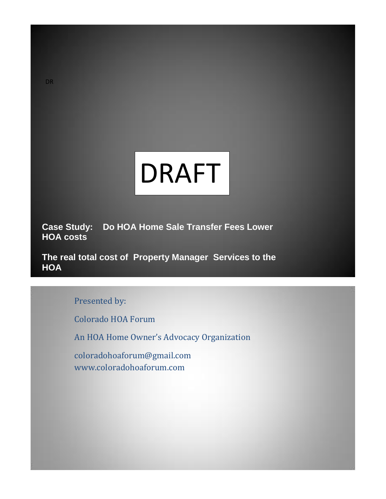

**Case Study: Do HOA Home Sale Transfer Fees Lower HOA costs**

**The real total cost of Property Manager Services to the HOA**

Presented by:

Colorado HOA Forum

An HOA Home Owner's Advocacy Organization

coloradohoaforum@gmail.com www.coloradohoaforum.com

DR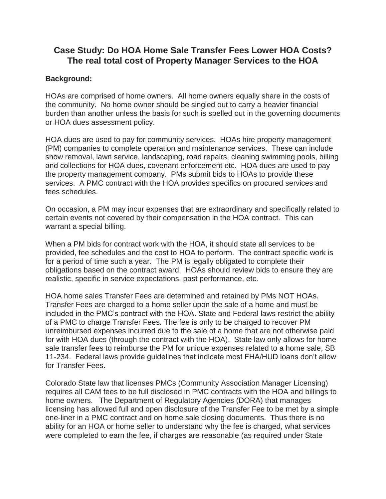# **Case Study: Do HOA Home Sale Transfer Fees Lower HOA Costs? The real total cost of Property Manager Services to the HOA**

## **Background:**

HOAs are comprised of home owners. All home owners equally share in the costs of the community. No home owner should be singled out to carry a heavier financial burden than another unless the basis for such is spelled out in the governing documents or HOA dues assessment policy.

HOA dues are used to pay for community services. HOAs hire property management (PM) companies to complete operation and maintenance services. These can include snow removal, lawn service, landscaping, road repairs, cleaning swimming pools, billing and collections for HOA dues, covenant enforcement etc. HOA dues are used to pay the property management company. PMs submit bids to HOAs to provide these services. A PMC contract with the HOA provides specifics on procured services and fees schedules.

On occasion, a PM may incur expenses that are extraordinary and specifically related to certain events not covered by their compensation in the HOA contract. This can warrant a special billing.

When a PM bids for contract work with the HOA, it should state all services to be provided, fee schedules and the cost to HOA to perform. The contract specific work is for a period of time such a year. The PM is legally obligated to complete their obligations based on the contract award. HOAs should review bids to ensure they are realistic, specific in service expectations, past performance, etc.

HOA home sales Transfer Fees are determined and retained by PMs NOT HOAs. Transfer Fees are charged to a home seller upon the sale of a home and must be included in the PMC's contract with the HOA. State and Federal laws restrict the ability of a PMC to charge Transfer Fees. The fee is only to be charged to recover PM unreimbursed expenses incurred due to the sale of a home that are not otherwise paid for with HOA dues (through the contract with the HOA). State law only allows for home sale transfer fees to reimburse the PM for unique expenses related to a home sale, SB 11-234. Federal laws provide guidelines that indicate most FHA/HUD loans don't allow for Transfer Fees.

Colorado State law that licenses PMCs (Community Association Manager Licensing) requires all CAM fees to be full disclosed in PMC contracts with the HOA and billings to home owners. The Department of Regulatory Agencies (DORA) that manages licensing has allowed full and open disclosure of the Transfer Fee to be met by a simple one-liner in a PMC contract and on home sale closing documents. Thus there is no ability for an HOA or home seller to understand why the fee is charged, what services were completed to earn the fee, if charges are reasonable (as required under State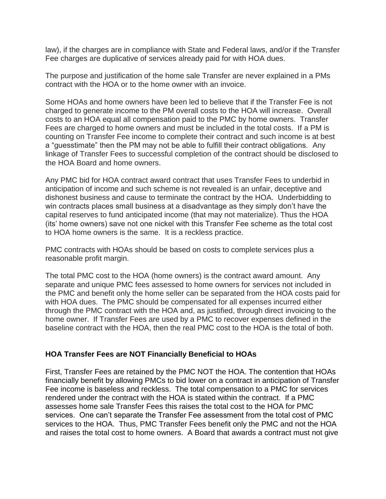law), if the charges are in compliance with State and Federal laws, and/or if the Transfer Fee charges are duplicative of services already paid for with HOA dues.

The purpose and justification of the home sale Transfer are never explained in a PMs contract with the HOA or to the home owner with an invoice.

Some HOAs and home owners have been led to believe that if the Transfer Fee is not charged to generate income to the PM overall costs to the HOA will increase. Overall costs to an HOA equal all compensation paid to the PMC by home owners. Transfer Fees are charged to home owners and must be included in the total costs. If a PM is counting on Transfer Fee income to complete their contract and such income is at best a "guesstimate" then the PM may not be able to fulfill their contract obligations. Any linkage of Transfer Fees to successful completion of the contract should be disclosed to the HOA Board and home owners.

Any PMC bid for HOA contract award contract that uses Transfer Fees to underbid in anticipation of income and such scheme is not revealed is an unfair, deceptive and dishonest business and cause to terminate the contract by the HOA. Underbidding to win contracts places small business at a disadvantage as they simply don't have the capital reserves to fund anticipated income (that may not materialize). Thus the HOA (its' home owners) save not one nickel with this Transfer Fee scheme as the total cost to HOA home owners is the same. It is a reckless practice.

PMC contracts with HOAs should be based on costs to complete services plus a reasonable profit margin.

The total PMC cost to the HOA (home owners) is the contract award amount. Any separate and unique PMC fees assessed to home owners for services not included in the PMC and benefit only the home seller can be separated from the HOA costs paid for with HOA dues. The PMC should be compensated for all expenses incurred either through the PMC contract with the HOA and, as justified, through direct invoicing to the home owner. If Transfer Fees are used by a PMC to recover expenses defined in the baseline contract with the HOA, then the real PMC cost to the HOA is the total of both.

## **HOA Transfer Fees are NOT Financially Beneficial to HOAs**

First, Transfer Fees are retained by the PMC NOT the HOA. The contention that HOAs financially benefit by allowing PMCs to bid lower on a contract in anticipation of Transfer Fee income is baseless and reckless. The total compensation to a PMC for services rendered under the contract with the HOA is stated within the contract. If a PMC assesses home sale Transfer Fees this raises the total cost to the HOA for PMC services. One can't separate the Transfer Fee assessment from the total cost of PMC services to the HOA. Thus, PMC Transfer Fees benefit only the PMC and not the HOA and raises the total cost to home owners. A Board that awards a contract must not give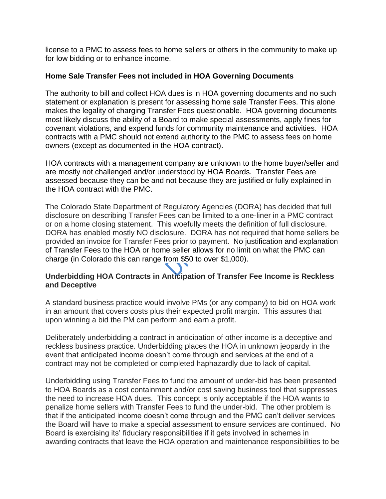license to a PMC to assess fees to home sellers or others in the community to make up for low bidding or to enhance income.

## **Home Sale Transfer Fees not included in HOA Governing Documents**

The authority to bill and collect HOA dues is in HOA governing documents and no such statement or explanation is present for assessing home sale Transfer Fees. This alone makes the legality of charging Transfer Fees questionable. HOA governing documents most likely discuss the ability of a Board to make special assessments, apply fines for covenant violations, and expend funds for community maintenance and activities. HOA contracts with a PMC should not extend authority to the PMC to assess fees on home owners (except as documented in the HOA contract).

HOA contracts with a management company are unknown to the home buyer/seller and are mostly not challenged and/or understood by HOA Boards. Transfer Fees are assessed because they can be and not because they are justified or fully explained in the HOA contract with the PMC.

The Colorado State Department of Regulatory Agencies (DORA) has decided that full disclosure on describing Transfer Fees can be limited to a one-liner in a PMC contract or on a home closing statement. This woefully meets the definition of full disclosure. DORA has enabled mostly NO disclosure. DORA has not required that home sellers be provided an invoice for Transfer Fees prior to payment. No justification and explanation of Transfer Fees to the HOA or home seller allows for no limit on what the PMC can charge (in Colorado this can range from \$50 to over \$1,000).

# **Underbidding HOA Contracts in Anticipation of Transfer Fee Income is Reckless and Deceptive**

A standard business practice would involve PMs (or any company) to bid on HOA work in an amount that covers costs plus their expected profit margin. This assures that upon winning a bid the PM can perform and earn a profit.

Deliberately underbidding a contract in anticipation of other income is a deceptive and reckless business practice. Underbidding places the HOA in unknown jeopardy in the event that anticipated income doesn't come through and services at the end of a contract may not be completed or completed haphazardly due to lack of capital.

Underbidding using Transfer Fees to fund the amount of under-bid has been presented to HOA Boards as a cost containment and/or cost saving business tool that suppresses the need to increase HOA dues. This concept is only acceptable if the HOA wants to penalize home sellers with Transfer Fees to fund the under-bid. The other problem is that if the anticipated income doesn't come through and the PMC can't deliver services the Board will have to make a special assessment to ensure services are continued. No Board is exercising its' fiduciary responsibilities if it gets involved in schemes in awarding contracts that leave the HOA operation and maintenance responsibilities to be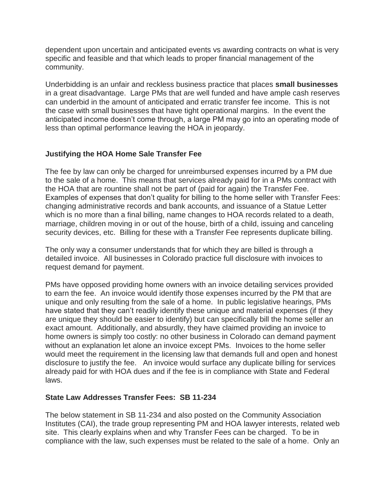dependent upon uncertain and anticipated events vs awarding contracts on what is very specific and feasible and that which leads to proper financial management of the community.

Underbidding is an unfair and reckless business practice that places **small businesses** in a great disadvantage. Large PMs that are well funded and have ample cash reserves can underbid in the amount of anticipated and erratic transfer fee income. This is not the case with small businesses that have tight operational margins. In the event the anticipated income doesn't come through, a large PM may go into an operating mode of less than optimal performance leaving the HOA in jeopardy.

# **Justifying the HOA Home Sale Transfer Fee**

The fee by law can only be charged for unreimbursed expenses incurred by a PM due to the sale of a home. This means that services already paid for in a PMs contract with the HOA that are rountine shall not be part of (paid for again) the Transfer Fee. Examples of expenses that don't quality for billing to the home seller with Transfer Fees: changing administrative records and bank accounts, and issuance of a Statue Letter which is no more than a final billing, name changes to HOA records related to a death, marriage, children moving in or out of the house, birth of a child, issuing and canceling security devices, etc. Billing for these with a Transfer Fee represents duplicate billing.

The only way a consumer understands that for which they are billed is through a detailed invoice. All businesses in Colorado practice full disclosure with invoices to request demand for payment.

PMs have opposed providing home owners with an invoice detailing services provided to earn the fee. An invoice would identify those expenses incurred by the PM that are unique and only resulting from the sale of a home. In public legislative hearings, PMs have stated that they can't readily identify these unique and material expenses (if they are unique they should be easier to identify) but can specifically bill the home seller an exact amount. Additionally, and absurdly, they have claimed providing an invoice to home owners is simply too costly: no other business in Colorado can demand payment without an explanation let alone an invoice except PMs. Invoices to the home seller would meet the requirement in the licensing law that demands full and open and honest disclosure to justify the fee. An invoice would surface any duplicate billing for services already paid for with HOA dues and if the fee is in compliance with State and Federal laws.

## **State Law Addresses Transfer Fees: SB 11-234**

The below statement in SB 11-234 and also posted on the Community Association Institutes (CAI), the trade group representing PM and HOA lawyer interests, related web site. This clearly explains when and why Transfer Fees can be charged. To be in compliance with the law, such expenses must be related to the sale of a home. Only an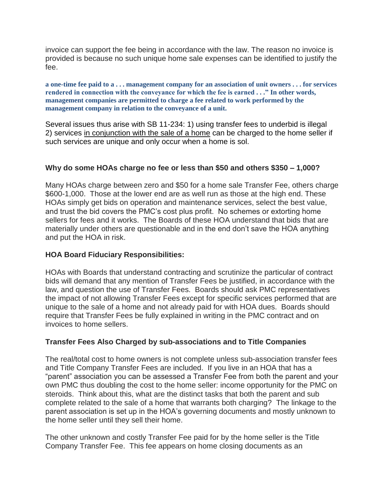invoice can support the fee being in accordance with the law. The reason no invoice is provided is because no such unique home sale expenses can be identified to justify the fee.

**a one-time fee paid to a . . . management company for an association of unit owners . . . for services rendered in connection with the conveyance for which the fee is earned . . ." In other words, management companies are permitted to charge a fee related to work performed by the management company in relation to the conveyance of a unit.**

Several issues thus arise with SB 11-234: 1) using transfer fees to underbid is illegal 2) services in conjunction with the sale of a home can be charged to the home seller if such services are unique and only occur when a home is sol.

## **Why do some HOAs charge no fee or less than \$50 and others \$350 – 1,000?**

Many HOAs charge between zero and \$50 for a home sale Transfer Fee, others charge \$600-1,000. Those at the lower end are as well run as those at the high end. These HOAs simply get bids on operation and maintenance services, select the best value, and trust the bid covers the PMC's cost plus profit. No schemes or extorting home sellers for fees and it works. The Boards of these HOA understand that bids that are materially under others are questionable and in the end don't save the HOA anything and put the HOA in risk.

## **HOA Board Fiduciary Responsibilities:**

HOAs with Boards that understand contracting and scrutinize the particular of contract bids will demand that any mention of Transfer Fees be justified, in accordance with the law, and question the use of Transfer Fees. Boards should ask PMC representatives the impact of not allowing Transfer Fees except for specific services performed that are unique to the sale of a home and not already paid for with HOA dues. Boards should require that Transfer Fees be fully explained in writing in the PMC contract and on invoices to home sellers.

## **Transfer Fees Also Charged by sub-associations and to Title Companies**

The real/total cost to home owners is not complete unless sub-association transfer fees and Title Company Transfer Fees are included. If you live in an HOA that has a "parent" association you can be assessed a Transfer Fee from both the parent and your own PMC thus doubling the cost to the home seller: income opportunity for the PMC on steroids. Think about this, what are the distinct tasks that both the parent and sub complete related to the sale of a home that warrants both charging? The linkage to the parent association is set up in the HOA's governing documents and mostly unknown to the home seller until they sell their home.

The other unknown and costly Transfer Fee paid for by the home seller is the Title Company Transfer Fee. This fee appears on home closing documents as an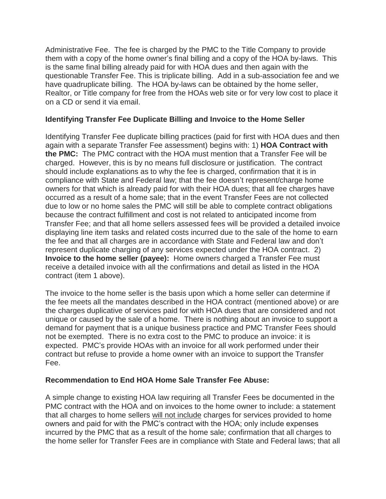Administrative Fee. The fee is charged by the PMC to the Title Company to provide them with a copy of the home owner's final billing and a copy of the HOA by-laws. This is the same final billing already paid for with HOA dues and then again with the questionable Transfer Fee. This is triplicate billing. Add in a sub-association fee and we have quadruplicate billing. The HOA by-laws can be obtained by the home seller, Realtor, or Title company for free from the HOAs web site or for very low cost to place it on a CD or send it via email.

## **Identifying Transfer Fee Duplicate Billing and Invoice to the Home Seller**

Identifying Transfer Fee duplicate billing practices (paid for first with HOA dues and then again with a separate Transfer Fee assessment) begins with: 1) **HOA Contract with the PMC:** The PMC contract with the HOA must mention that a Transfer Fee will be charged. However, this is by no means full disclosure or justification. The contract should include explanations as to why the fee is charged, confirmation that it is in compliance with State and Federal law; that the fee doesn't represent/charge home owners for that which is already paid for with their HOA dues; that all fee charges have occurred as a result of a home sale; that in the event Transfer Fees are not collected due to low or no home sales the PMC will still be able to complete contract obligations because the contract fulfillment and cost is not related to anticipated income from Transfer Fee; and that all home sellers assessed fees will be provided a detailed invoice displaying line item tasks and related costs incurred due to the sale of the home to earn the fee and that all charges are in accordance with State and Federal law and don't represent duplicate charging of any services expected under the HOA contract. 2) **Invoice to the home seller (payee):** Home owners charged a Transfer Fee must receive a detailed invoice with all the confirmations and detail as listed in the HOA contract (item 1 above).

The invoice to the home seller is the basis upon which a home seller can determine if the fee meets all the mandates described in the HOA contract (mentioned above) or are the charges duplicative of services paid for with HOA dues that are considered and not unique or caused by the sale of a home. There is nothing about an invoice to support a demand for payment that is a unique business practice and PMC Transfer Fees should not be exempted. There is no extra cost to the PMC to produce an invoice: it is expected. PMC's provide HOAs with an invoice for all work performed under their contract but refuse to provide a home owner with an invoice to support the Transfer Fee.

## **Recommendation to End HOA Home Sale Transfer Fee Abuse:**

A simple change to existing HOA law requiring all Transfer Fees be documented in the PMC contract with the HOA and on invoices to the home owner to include: a statement that all charges to home sellers will not include charges for services provided to home owners and paid for with the PMC's contract with the HOA; only include expenses incurred by the PMC that as a result of the home sale; confirmation that all charges to the home seller for Transfer Fees are in compliance with State and Federal laws; that all